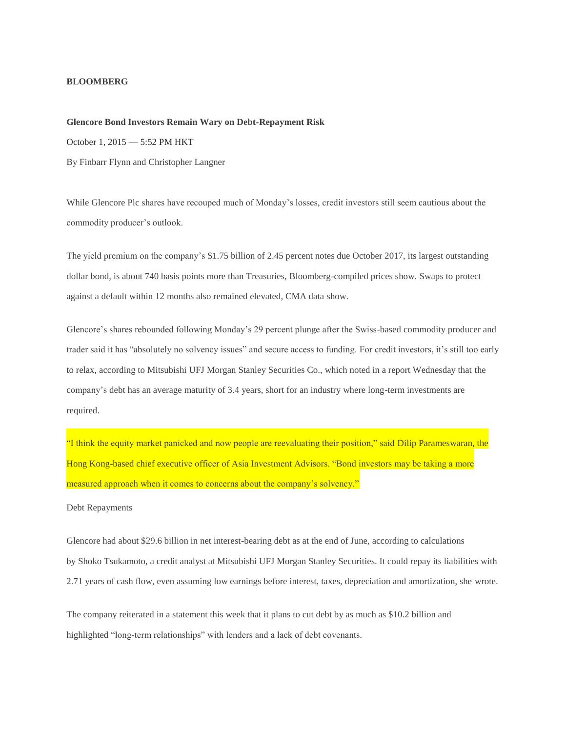## **BLOOMBERG**

## **Glencore Bond Investors Remain Wary on Debt-Repayment Risk**

October 1, 2015 — 5:52 PM HKT

By Finbarr Flynn and Christopher Langner

While Glencore Plc shares have recouped much of Monday's losses, credit investors still seem cautious about the commodity producer's outlook.

The yield premium on the company's \$1.75 billion of 2.45 percent notes due October 2017, its largest outstanding dollar bond, is about 740 basis points more than Treasuries, Bloomberg-compiled prices show. Swaps to protect against a default within 12 months also remained elevated, CMA data show.

Glencore's shares rebounded following Monday's 29 percent plunge after the Swiss-based commodity producer and trader said it has "absolutely no solvency issues" and secure access to funding. For credit investors, it's still too early to relax, according to Mitsubishi UFJ Morgan Stanley Securities Co., which noted in a report Wednesday that the company's debt has an average maturity of 3.4 years, short for an industry where long-term investments are required.

"I think the equity market panicked and now people are reevaluating their position," said Dilip Parameswaran, the Hong Kong-based chief executive officer of Asia Investment Advisors. "Bond investors may be taking a more measured approach when it comes to concerns about the company's solvency."

## Debt Repayments

Glencore had about \$29.6 billion in net interest-bearing debt as at the end of June, according to calculations by Shoko Tsukamoto, a credit analyst at Mitsubishi UFJ Morgan Stanley Securities. It could repay its liabilities with 2.71 years of cash flow, even assuming low earnings before interest, taxes, depreciation and amortization, she wrote.

The company reiterated in a statement this week that it plans to cut debt by as much as \$10.2 billion and highlighted "long-term relationships" with lenders and a lack of debt covenants.